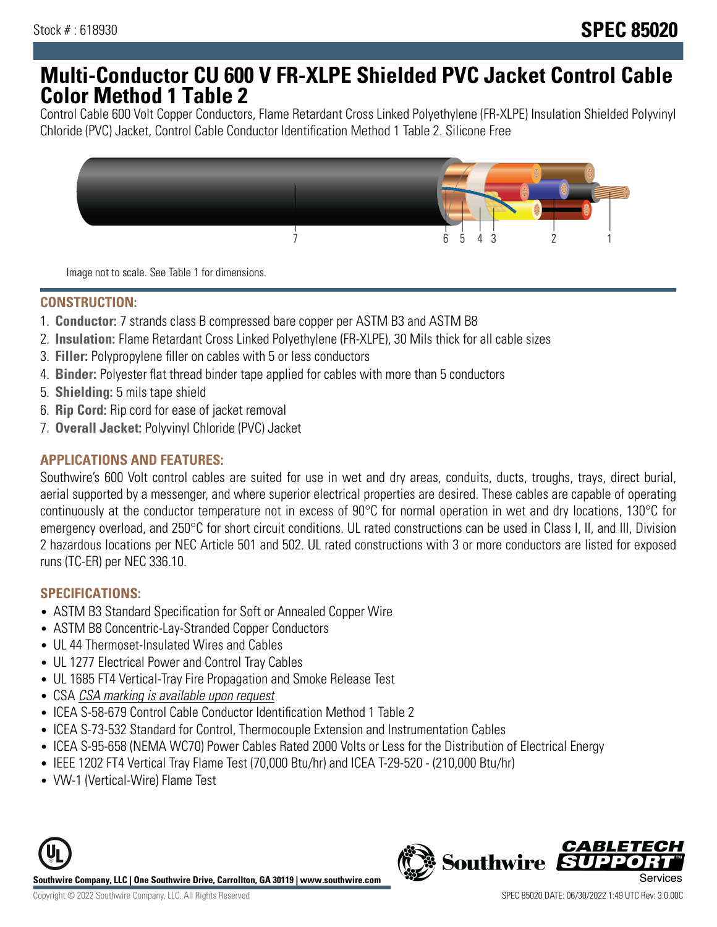# **Multi-Conductor CU 600 V FR-XLPE Shielded PVC Jacket Control Cable Color Method 1 Table 2**

Control Cable 600 Volt Copper Conductors, Flame Retardant Cross Linked Polyethylene (FR-XLPE) Insulation Shielded Polyvinyl Chloride (PVC) Jacket, Control Cable Conductor Identification Method 1 Table 2. Silicone Free



Image not to scale. See Table 1 for dimensions.

### **CONSTRUCTION:**

- 1. **Conductor:** 7 strands class B compressed bare copper per ASTM B3 and ASTM B8
- 2. **Insulation:** Flame Retardant Cross Linked Polyethylene (FR-XLPE), 30 Mils thick for all cable sizes
- 3. **Filler:** Polypropylene filler on cables with 5 or less conductors
- 4. **Binder:** Polyester flat thread binder tape applied for cables with more than 5 conductors
- 5. **Shielding:** 5 mils tape shield
- 6. **Rip Cord:** Rip cord for ease of jacket removal
- 7. **Overall Jacket:** Polyvinyl Chloride (PVC) Jacket

#### **APPLICATIONS AND FEATURES:**

Southwire's 600 Volt control cables are suited for use in wet and dry areas, conduits, ducts, troughs, trays, direct burial, aerial supported by a messenger, and where superior electrical properties are desired. These cables are capable of operating continuously at the conductor temperature not in excess of 90°C for normal operation in wet and dry locations, 130°C for emergency overload, and 250°C for short circuit conditions. UL rated constructions can be used in Class I, II, and III, Division 2 hazardous locations per NEC Article 501 and 502. UL rated constructions with 3 or more conductors are listed for exposed runs (TC-ER) per NEC 336.10.

### **SPECIFICATIONS:**

- ASTM B3 Standard Specification for Soft or Annealed Copper Wire
- ASTM B8 Concentric-Lay-Stranded Copper Conductors
- UL 44 Thermoset-Insulated Wires and Cables
- UL 1277 Electrical Power and Control Tray Cables
- UL 1685 FT4 Vertical-Tray Fire Propagation and Smoke Release Test
- CSA CSA marking is available upon request
- ICEA S-58-679 Control Cable Conductor Identification Method 1 Table 2
- ICEA S-73-532 Standard for Control, Thermocouple Extension and Instrumentation Cables
- ICEA S-95-658 (NEMA WC70) Power Cables Rated 2000 Volts or Less for the Distribution of Electrical Energy
- IEEE 1202 FT4 Vertical Tray Flame Test (70,000 Btu/hr) and ICEA T-29-520 (210,000 Btu/hr)
- VW-1 (Vertical-Wire) Flame Test



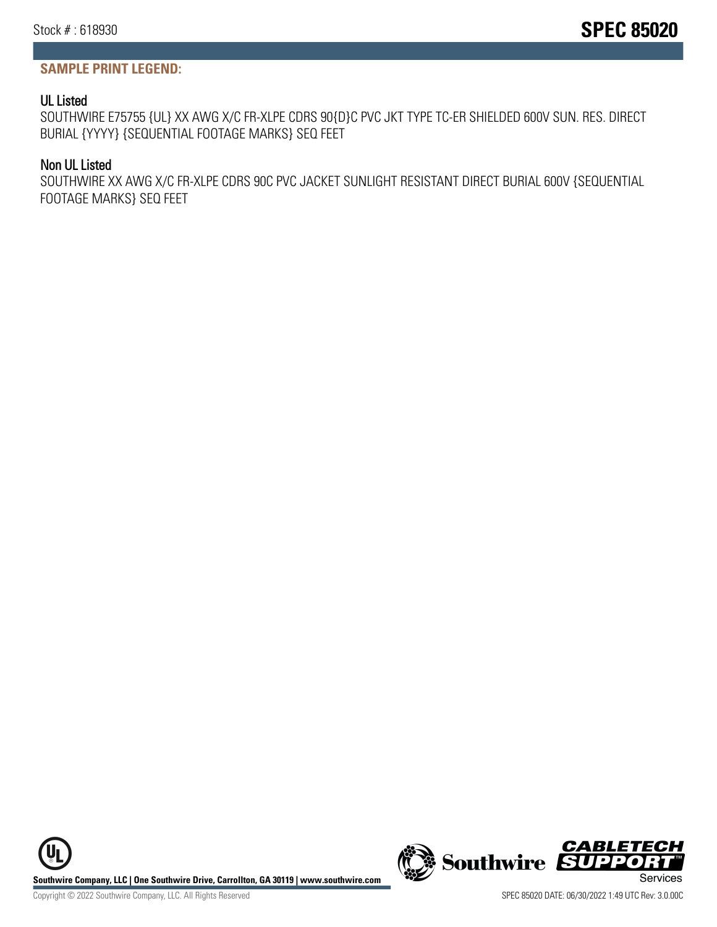## **SAMPLE PRINT LEGEND:**

## UL Listed

SOUTHWIRE E75755 {UL} XX AWG X/C FR-XLPE CDRS 90{D}C PVC JKT TYPE TC-ER SHIELDED 600V SUN. RES. DIRECT BURIAL {YYYY} {SEQUENTIAL FOOTAGE MARKS} SEQ FEET

## Non UL Listed

SOUTHWIRE XX AWG X/C FR-XLPE CDRS 90C PVC JACKET SUNLIGHT RESISTANT DIRECT BURIAL 600V {SEQUENTIAL FOOTAGE MARKS} SEQ FEET